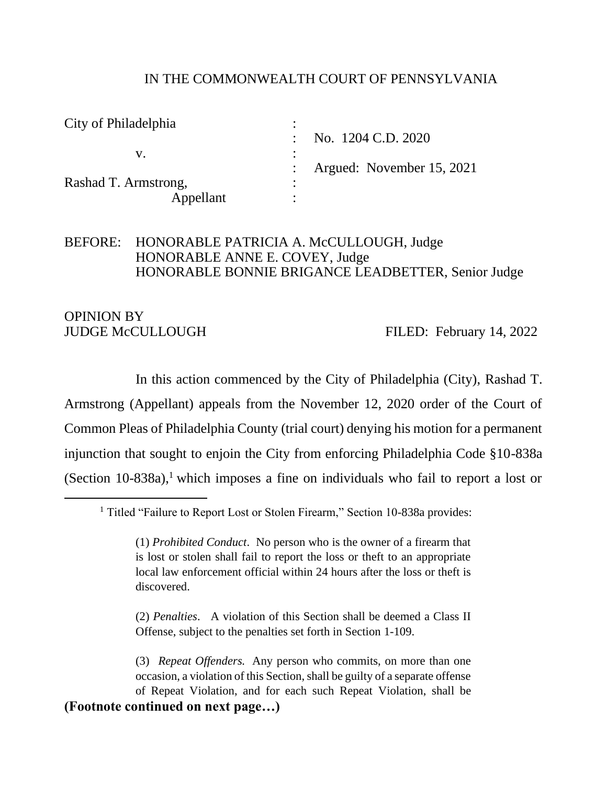#### IN THE COMMONWEALTH COURT OF PENNSYLVANIA

| City of Philadelphia | $\bullet$                 |
|----------------------|---------------------------|
|                      | No. 1204 C.D. 2020        |
|                      |                           |
|                      | Argued: November 15, 2021 |
| Rashad T. Armstrong, | ٠                         |
| Appellant            |                           |

## BEFORE: HONORABLE PATRICIA A. McCULLOUGH, Judge HONORABLE ANNE E. COVEY, Judge HONORABLE BONNIE BRIGANCE LEADBETTER, Senior Judge

# OPINION BY

JUDGE McCULLOUGH FILED: February 14, 2022

In this action commenced by the City of Philadelphia (City), Rashad T. Armstrong (Appellant) appeals from the November 12, 2020 order of the Court of Common Pleas of Philadelphia County (trial court) denying his motion for a permanent injunction that sought to enjoin the City from enforcing Philadelphia Code §10-838a (Section 10-838a), <sup>1</sup> which imposes a fine on individuals who fail to report a lost or

(2) *Penalties*. A violation of this Section shall be deemed a Class II Offense, subject to the penalties set forth in Section [1-109.](https://codelibrary.amlegal.com/codes/philadelphia/latest/philadelphia_pa/0-0-0-184577#JD_1-109)

(3) *Repeat Offenders.* Any person who commits, on more than one occasion, a violation of this Section, shall be guilty of a separate offense of Repeat Violation, and for each such Repeat Violation, shall be **(Footnote continued on next page…)**

<sup>&</sup>lt;sup>1</sup> Titled "Failure to Report Lost or Stolen Firearm," Section 10-838a provides:

<sup>(1)</sup> *Prohibited Conduct*. No person who is the owner of a firearm that is lost or stolen shall fail to report the loss or theft to an appropriate local law enforcement official within 24 hours after the loss or theft is discovered.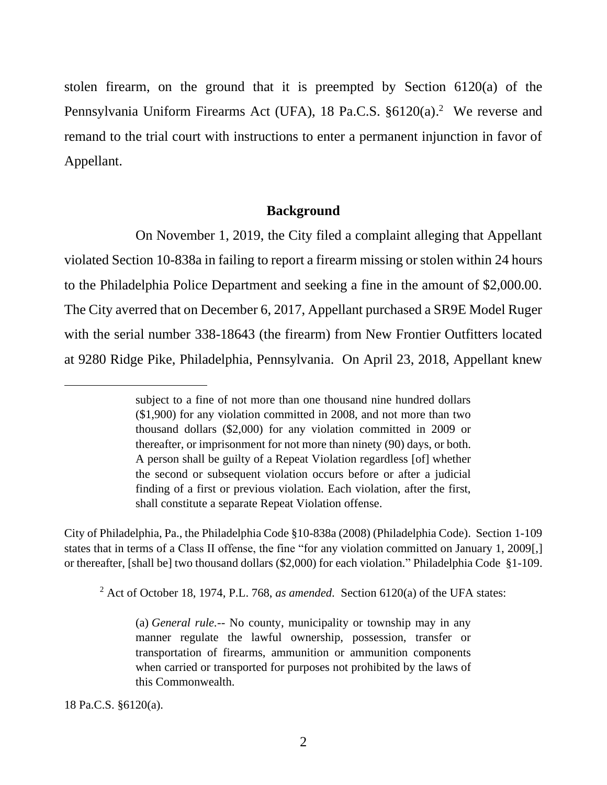stolen firearm, on the ground that it is preempted by Section 6120(a) of the Pennsylvania Uniform Firearms Act (UFA), 18 Pa.C.S. §6120(a).<sup>2</sup> We reverse and remand to the trial court with instructions to enter a permanent injunction in favor of Appellant.

#### **Background**

On November 1, 2019, the City filed a complaint alleging that Appellant violated Section 10-838a in failing to report a firearm missing or stolen within 24 hours to the Philadelphia Police Department and seeking a fine in the amount of \$2,000.00. The City averred that on December 6, 2017, Appellant purchased a SR9E Model Ruger with the serial number 338-18643 (the firearm) from New Frontier Outfitters located at 9280 Ridge Pike, Philadelphia, Pennsylvania. On April 23, 2018, Appellant knew

City of Philadelphia, Pa., the Philadelphia Code §10-838a (2008) (Philadelphia Code). Section [1-109](https://codelibrary.amlegal.com/codes/philadelphia/latest/philadelphia_pa/0-0-0-184577#JD_1-109) states that in terms of a Class II offense, the fine "for any violation committed on January 1, 2009[,] or thereafter, [shall be] two thousand dollars (\$2,000) for each violation." Philadelphia Code §1-109.

<sup>2</sup> Act of October 18, 1974, P.L. 768, *as amended*. Section 6120(a) of the UFA states:

(a) *General rule.*-- No county, municipality or township may in any manner regulate the lawful ownership, possession, transfer or transportation of firearms, ammunition or ammunition components when carried or transported for purposes not prohibited by the laws of this Commonwealth.

18 Pa.C.S. §6120(a).

subject to a fine of not more than one thousand nine hundred dollars (\$1,900) for any violation committed in 2008, and not more than two thousand dollars (\$2,000) for any violation committed in 2009 or thereafter, or imprisonment for not more than ninety (90) days, or both. A person shall be guilty of a Repeat Violation regardless [of] whether the second or subsequent violation occurs before or after a judicial finding of a first or previous violation. Each violation, after the first, shall constitute a separate Repeat Violation offense.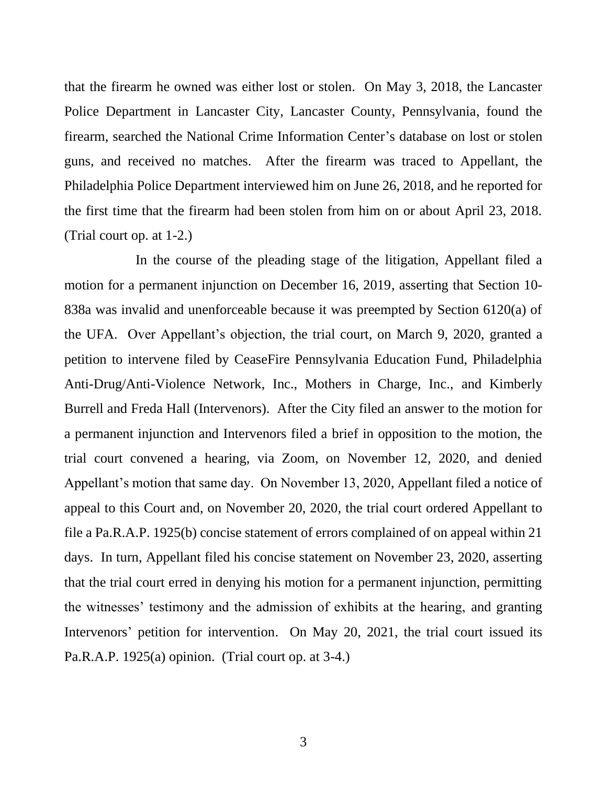that the firearm he owned was either lost or stolen. On May 3, 2018, the Lancaster Police Department in Lancaster City, Lancaster County, Pennsylvania, found the firearm, searched the National Crime Information Center's database on lost or stolen guns, and received no matches. After the firearm was traced to Appellant, the Philadelphia Police Department interviewed him on June 26, 2018, and he reported for the first time that the firearm had been stolen from him on or about April 23, 2018. (Trial court op. at 1-2.)

In the course of the pleading stage of the litigation, Appellant filed a motion for a permanent injunction on December 16, 2019, asserting that Section 10- 838a was invalid and unenforceable because it was preempted by Section 6120(a) of the UFA. Over Appellant's objection, the trial court, on March 9, 2020, granted a petition to intervene filed by CeaseFire Pennsylvania Education Fund, Philadelphia Anti-Drug/Anti-Violence Network, Inc., Mothers in Charge, Inc., and Kimberly Burrell and Freda Hall (Intervenors). After the City filed an answer to the motion for a permanent injunction and Intervenors filed a brief in opposition to the motion, the trial court convened a hearing, via Zoom, on November 12, 2020, and denied Appellant's motion that same day. On November 13, 2020, Appellant filed a notice of appeal to this Court and, on November 20, 2020, the trial court ordered Appellant to file a Pa.R.A.P. 1925(b) concise statement of errors complained of on appeal within 21 days. In turn, Appellant filed his concise statement on November 23, 2020, asserting that the trial court erred in denying his motion for a permanent injunction, permitting the witnesses' testimony and the admission of exhibits at the hearing, and granting Intervenors' petition for intervention. On May 20, 2021, the trial court issued its Pa.R.A.P. 1925(a) opinion. (Trial court op. at 3-4.)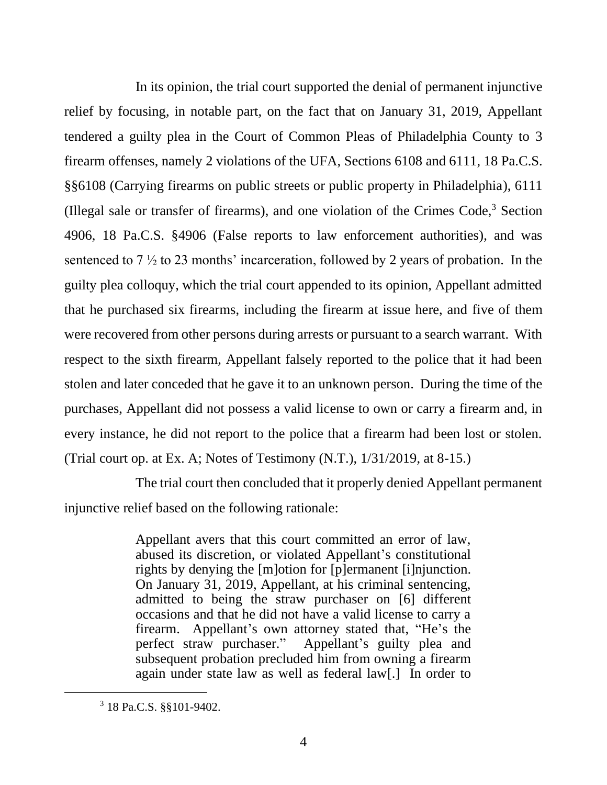In its opinion, the trial court supported the denial of permanent injunctive relief by focusing, in notable part, on the fact that on January 31, 2019, Appellant tendered a guilty plea in the Court of Common Pleas of Philadelphia County to 3 firearm offenses, namely 2 violations of the UFA, Sections 6108 and 6111, 18 Pa.C.S. §§6108 (Carrying firearms on public streets or public property in Philadelphia), 6111 (Illegal sale or transfer of firearms), and one violation of the Crimes  $Code<sup>3</sup>$ , Section 4906, 18 Pa.C.S. §4906 (False reports to law enforcement authorities), and was sentenced to  $7\frac{1}{2}$  to 23 months' incarceration, followed by 2 years of probation. In the guilty plea colloquy, which the trial court appended to its opinion, Appellant admitted that he purchased six firearms, including the firearm at issue here, and five of them were recovered from other persons during arrests or pursuant to a search warrant. With respect to the sixth firearm, Appellant falsely reported to the police that it had been stolen and later conceded that he gave it to an unknown person. During the time of the purchases, Appellant did not possess a valid license to own or carry a firearm and, in every instance, he did not report to the police that a firearm had been lost or stolen. (Trial court op. at Ex. A; Notes of Testimony (N.T.), 1/31/2019, at 8-15.)

The trial court then concluded that it properly denied Appellant permanent injunctive relief based on the following rationale:

> Appellant avers that this court committed an error of law, abused its discretion, or violated Appellant's constitutional rights by denying the [m]otion for [p]ermanent [i]njunction. On January 31, 2019, Appellant, at his criminal sentencing, admitted to being the straw purchaser on [6] different occasions and that he did not have a valid license to carry a firearm. Appellant's own attorney stated that, "He's the perfect straw purchaser." Appellant's guilty plea and subsequent probation precluded him from owning a firearm again under state law as well as federal law[.] In order to

<sup>3</sup> 18 Pa.C.S. §§101-9402.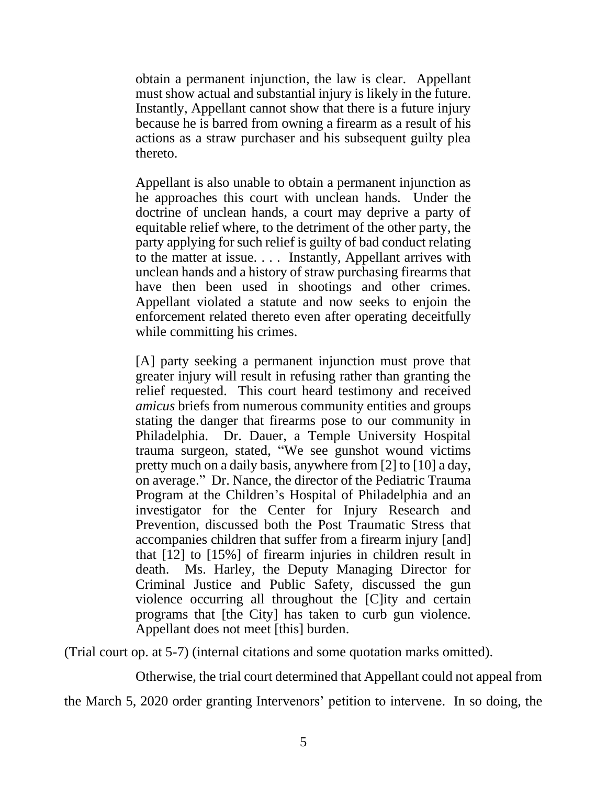obtain a permanent injunction, the law is clear. Appellant must show actual and substantial injury is likely in the future. Instantly, Appellant cannot show that there is a future injury because he is barred from owning a firearm as a result of his actions as a straw purchaser and his subsequent guilty plea thereto.

Appellant is also unable to obtain a permanent injunction as he approaches this court with unclean hands. Under the doctrine of unclean hands, a court may deprive a party of equitable relief where, to the detriment of the other party, the party applying for such relief is guilty of bad conduct relating to the matter at issue. . . . Instantly, Appellant arrives with unclean hands and a history of straw purchasing firearms that have then been used in shootings and other crimes. Appellant violated a statute and now seeks to enjoin the enforcement related thereto even after operating deceitfully while committing his crimes.

[A] party seeking a permanent injunction must prove that greater injury will result in refusing rather than granting the relief requested. This court heard testimony and received *amicus* briefs from numerous community entities and groups stating the danger that firearms pose to our community in Philadelphia. Dr. Dauer, a Temple University Hospital trauma surgeon, stated, "We see gunshot wound victims pretty much on a daily basis, anywhere from [2] to [10] a day, on average." Dr. Nance, the director of the Pediatric Trauma Program at the Children's Hospital of Philadelphia and an investigator for the Center for Injury Research and Prevention, discussed both the Post Traumatic Stress that accompanies children that suffer from a firearm injury [and] that [12] to [15%] of firearm injuries in children result in death. Ms. Harley, the Deputy Managing Director for Criminal Justice and Public Safety, discussed the gun violence occurring all throughout the [C]ity and certain programs that [the City] has taken to curb gun violence. Appellant does not meet [this] burden.

(Trial court op. at 5-7) (internal citations and some quotation marks omitted).

Otherwise, the trial court determined that Appellant could not appeal from

the March 5, 2020 order granting Intervenors' petition to intervene. In so doing, the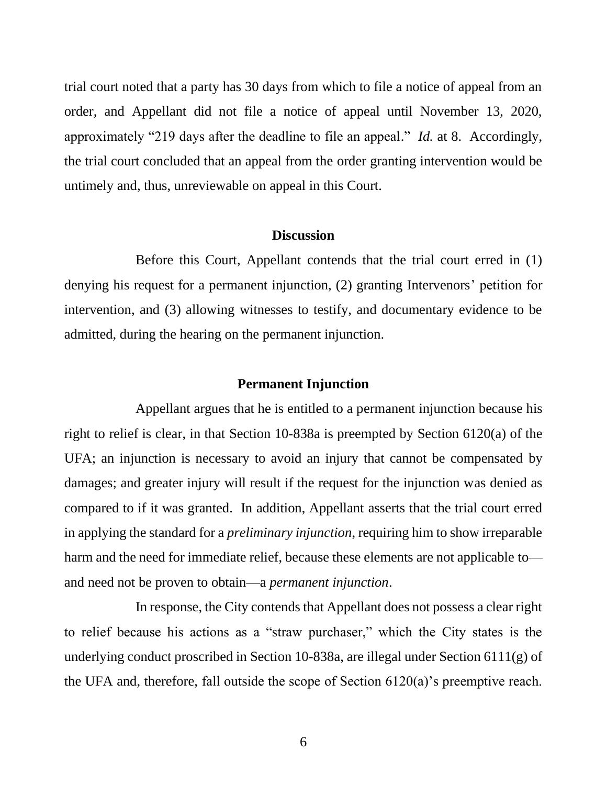trial court noted that a party has 30 days from which to file a notice of appeal from an order, and Appellant did not file a notice of appeal until November 13, 2020, approximately "219 days after the deadline to file an appeal." *Id.* at 8. Accordingly, the trial court concluded that an appeal from the order granting intervention would be untimely and, thus, unreviewable on appeal in this Court.

#### **Discussion**

Before this Court, Appellant contends that the trial court erred in (1) denying his request for a permanent injunction, (2) granting Intervenors' petition for intervention, and (3) allowing witnesses to testify, and documentary evidence to be admitted, during the hearing on the permanent injunction.

#### **Permanent Injunction**

Appellant argues that he is entitled to a permanent injunction because his right to relief is clear, in that Section 10-838a is preempted by Section 6120(a) of the UFA; an injunction is necessary to avoid an injury that cannot be compensated by damages; and greater injury will result if the request for the injunction was denied as compared to if it was granted. In addition, Appellant asserts that the trial court erred in applying the standard for a *preliminary injunction*, requiring him to show irreparable harm and the need for immediate relief, because these elements are not applicable to and need not be proven to obtain—a *permanent injunction*.

In response, the City contends that Appellant does not possess a clear right to relief because his actions as a "straw purchaser," which the City states is the underlying conduct proscribed in Section 10-838a, are illegal under Section 6111(g) of the UFA and, therefore, fall outside the scope of Section 6120(a)'s preemptive reach.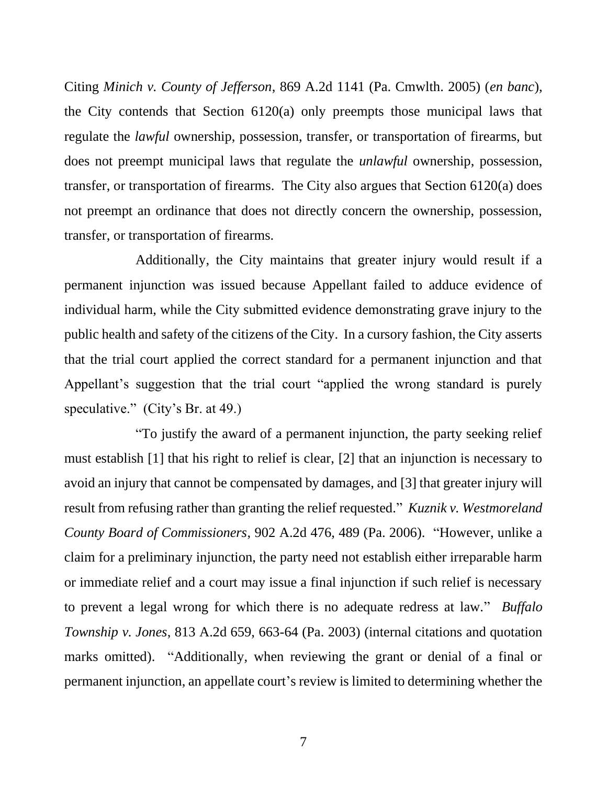Citing *Minich v. County of Jefferson*, 869 A.2d 1141 (Pa. Cmwlth. 2005) (*en banc*), the City contends that Section 6120(a) only preempts those municipal laws that regulate the *lawful* ownership, possession, transfer, or transportation of firearms, but does not preempt municipal laws that regulate the *unlawful* ownership, possession, transfer, or transportation of firearms.The City also argues that Section 6120(a) does not preempt an ordinance that does not directly concern the ownership, possession, transfer, or transportation of firearms.

Additionally, the City maintains that greater injury would result if a permanent injunction was issued because Appellant failed to adduce evidence of individual harm, while the City submitted evidence demonstrating grave injury to the public health and safety of the citizens of the City. In a cursory fashion, the City asserts that the trial court applied the correct standard for a permanent injunction and that Appellant's suggestion that the trial court "applied the wrong standard is purely speculative." (City's Br. at 49.)

"To justify the award of a permanent injunction, the party seeking relief must establish [1] that his right to relief is clear, [2] that an injunction is necessary to avoid an injury that cannot be compensated by damages, and [3] that greater injury will result from refusing rather than granting the relief requested." *Kuznik v. Westmoreland County Board of Commissioners*, 902 A.2d 476, 489 (Pa. 2006). "However, unlike a claim for a preliminary injunction, the party need not establish either irreparable harm or immediate relief and a court may issue a final injunction if such relief is necessary to prevent a legal wrong for which there is no adequate redress at law." *Buffalo Township v. Jones*, 813 A.2d 659, 663-64 (Pa. 2003) (internal citations and quotation marks omitted). "Additionally, when reviewing the grant or denial of a final or permanent injunction, an appellate court's review is limited to determining whether the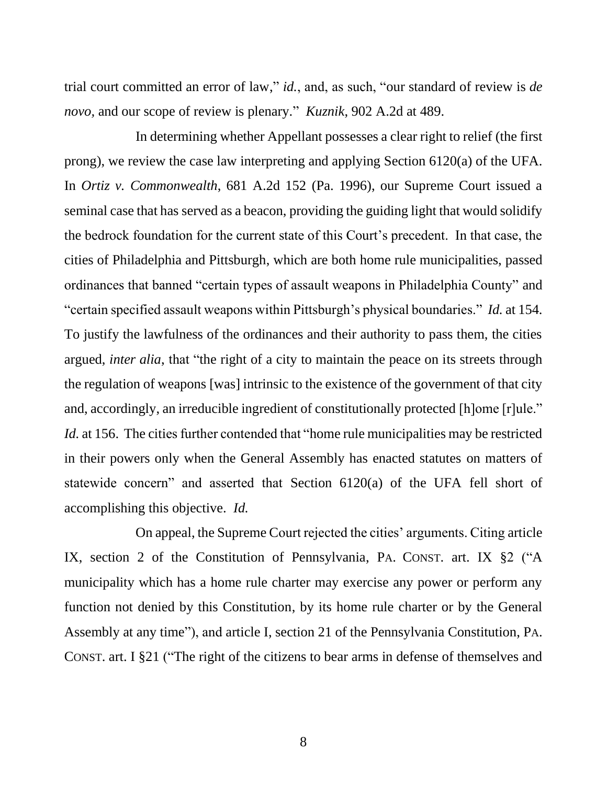trial court committed an error of law," *id.*, and, as such, "our standard of review is *de novo,* and our scope of review is plenary." *Kuznik*, 902 A.2d at 489.

In determining whether Appellant possesses a clear right to relief (the first prong), we review the case law interpreting and applying Section 6120(a) of the UFA. In *Ortiz v. Commonwealth*, 681 A.2d 152 (Pa. 1996), our Supreme Court issued a seminal case that has served as a beacon, providing the guiding light that would solidify the bedrock foundation for the current state of this Court's precedent. In that case, the cities of Philadelphia and Pittsburgh, which are both home rule municipalities, passed ordinances that banned "certain types of assault weapons in Philadelphia County" and "certain specified assault weapons within Pittsburgh's physical boundaries." *Id.* at 154. To justify the lawfulness of the ordinances and their authority to pass them, the cities argued, *inter alia*, that "the right of a city to maintain the peace on its streets through the regulation of weapons [was] intrinsic to the existence of the government of that city and, accordingly, an irreducible ingredient of constitutionally protected [h]ome [r]ule." *Id.* at 156. The cities further contended that "home rule municipalities may be restricted in their powers only when the General Assembly has enacted statutes on matters of statewide concern" and asserted that Section 6120(a) of the UFA fell short of accomplishing this objective. *Id.*

On appeal, the Supreme Court rejected the cities' arguments. Citing article IX, section 2 of the Constitution of Pennsylvania, PA. CONST. art. IX §2 ("A municipality which has a home rule charter may exercise any power or perform any function not denied by this Constitution, by its home rule charter or by the General Assembly at any time"), and article I, section 21 of the Pennsylvania Constitution, PA. CONST. art. I §21 ("The right of the citizens to bear arms in defense of themselves and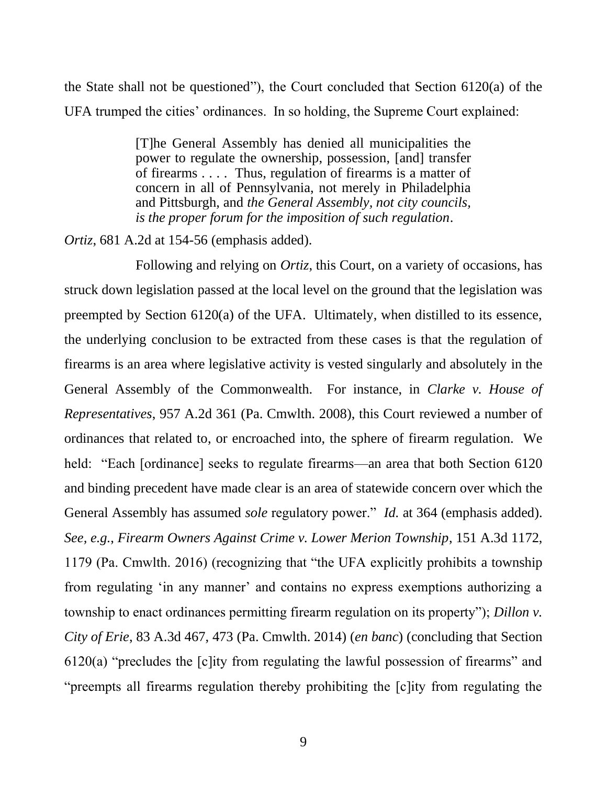the State shall not be questioned"), the Court concluded that Section 6120(a) of the UFA trumped the cities' ordinances. In so holding, the Supreme Court explained:

> [T]he General Assembly has denied all municipalities the power to regulate the ownership, possession, [and] transfer of firearms . . . . Thus, regulation of firearms is a matter of concern in all of Pennsylvania, not merely in Philadelphia and Pittsburgh, and *the General Assembly, not city councils, is the proper forum for the imposition of such regulation*.

*Ortiz*, 681 A.2d at 154-56 (emphasis added).

Following and relying on *Ortiz*, this Court, on a variety of occasions, has struck down legislation passed at the local level on the ground that the legislation was preempted by Section 6120(a) of the UFA. Ultimately, when distilled to its essence, the underlying conclusion to be extracted from these cases is that the regulation of firearms is an area where legislative activity is vested singularly and absolutely in the General Assembly of the Commonwealth. For instance, in *Clarke v. House of Representatives*, 957 A.2d 361 (Pa. Cmwlth. 2008), this Court reviewed a number of ordinances that related to, or encroached into, the sphere of firearm regulation. We held: "Each [ordinance] seeks to regulate firearms—an area that both Section 6120 and binding precedent have made clear is an area of statewide concern over which the General Assembly has assumed *sole* regulatory power." *Id.* at 364 (emphasis added). *See, e.g.*, *Firearm Owners Against Crime v. Lower Merion Township*, 151 A.3d 1172, 1179 (Pa. Cmwlth. 2016) (recognizing that "the UFA explicitly prohibits a township from regulating 'in any manner' and contains no express exemptions authorizing a township to enact ordinances permitting firearm regulation on its property"); *Dillon v. City of Erie*, 83 A.3d 467, 473 (Pa. Cmwlth. 2014) (*en banc*) (concluding that Section  $6120(a)$  "precludes the  $[c]$ ity from regulating the lawful possession of firearms" and "preempts all firearms regulation thereby prohibiting the [c]ity from regulating the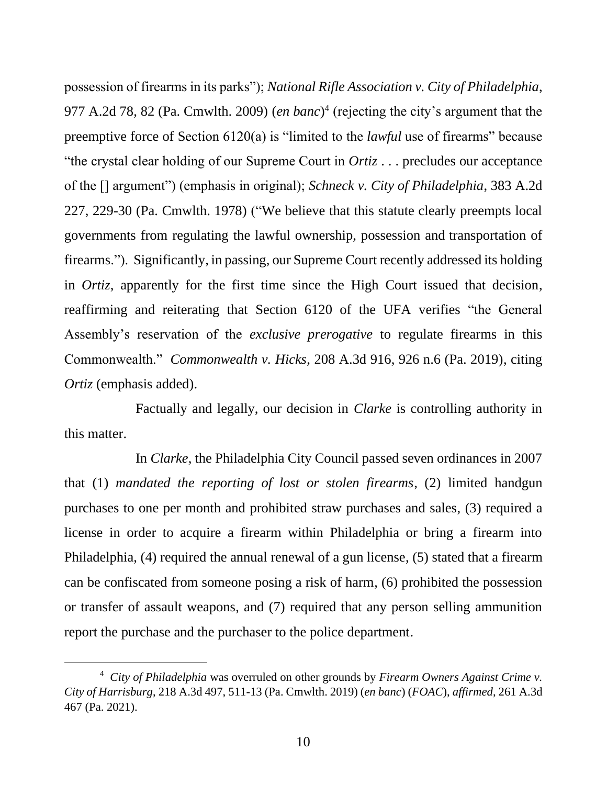possession of firearms in its parks"); *National Rifle Association v. City of Philadelphia*, 977 A.2d 78, 82 (Pa. Cmwlth. 2009) (*en banc*) 4 (rejecting the city's argument that the preemptive force of Section 6120(a) is "limited to the *lawful* use of firearms" because "the crystal clear holding of our Supreme Court in *Ortiz* . . . precludes our acceptance of the [] argument") (emphasis in original); *Schneck v. City of Philadelphia*, 383 A.2d 227, 229-30 (Pa. Cmwlth. 1978) ("We believe that this statute clearly preempts local governments from regulating the lawful ownership, possession and transportation of firearms."). Significantly, in passing, our Supreme Court recently addressed its holding in *Ortiz*, apparently for the first time since the High Court issued that decision, reaffirming and reiterating that Section 6120 of the UFA verifies "the General Assembly's reservation of the *exclusive prerogative* to regulate firearms in this Commonwealth." *Commonwealth v. Hicks*, 208 A.3d 916, 926 n.6 (Pa. 2019), citing *Ortiz* (emphasis added).

Factually and legally, our decision in *Clarke* is controlling authority in this matter.

In *Clarke*, the Philadelphia City Council passed seven ordinances in 2007 that (1) *mandated the reporting of lost or stolen firearms*, (2) limited handgun purchases to one per month and prohibited straw purchases and sales, (3) required a license in order to acquire a firearm within Philadelphia or bring a firearm into Philadelphia, (4) required the annual renewal of a gun license, (5) stated that a firearm can be confiscated from someone posing a risk of harm, (6) prohibited the possession or transfer of assault weapons, and (7) required that any person selling ammunition report the purchase and the purchaser to the police department.

<sup>4</sup> *City of Philadelphia* was overruled on other grounds by *Firearm Owners Against Crime v. City of Harrisburg*, 218 A.3d 497, 511-13 (Pa. Cmwlth. 2019) (*en banc*) (*FOAC*), *affirmed*, 261 A.3d 467 (Pa. 2021).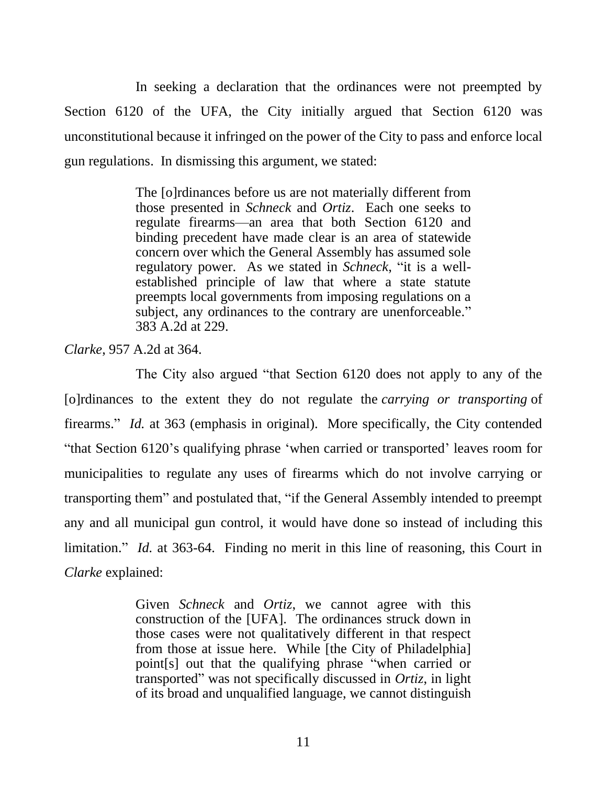In seeking a declaration that the ordinances were not preempted by Section 6120 of the UFA, the City initially argued that Section 6120 was unconstitutional because it infringed on the power of the City to pass and enforce local gun regulations. In dismissing this argument, we stated:

> The [o]rdinances before us are not materially different from those presented in *Schneck* and *Ortiz*. Each one seeks to regulate firearms—an area that both Section 6120 and binding precedent have made clear is an area of statewide concern over which the General Assembly has assumed sole regulatory power. As we stated in *Schneck*, "it is a wellestablished principle of law that where a state statute preempts local governments from imposing regulations on a subject, any ordinances to the contrary are unenforceable." 383 A.2d at 229.

*Clarke*, 957 A.2d at 364.

The City also argued "that Section 6120 does not apply to any of the [o]rdinances to the extent they do not regulate the *carrying or transporting* of firearms." *Id.* at 363 (emphasis in original). More specifically, the City contended "that Section 6120's qualifying phrase 'when carried or transported' leaves room for municipalities to regulate any uses of firearms which do not involve carrying or transporting them" and postulated that, "if the General Assembly intended to preempt any and all municipal gun control, it would have done so instead of including this limitation." *Id.* at 363-64. Finding no merit in this line of reasoning, this Court in *Clarke* explained:

> Given *Schneck* and *Ortiz*, we cannot agree with this construction of the [UFA]. The ordinances struck down in those cases were not qualitatively different in that respect from those at issue here. While [the City of Philadelphia] point[s] out that the qualifying phrase "when carried or transported" was not specifically discussed in *Ortiz*, in light of its broad and unqualified language, we cannot distinguish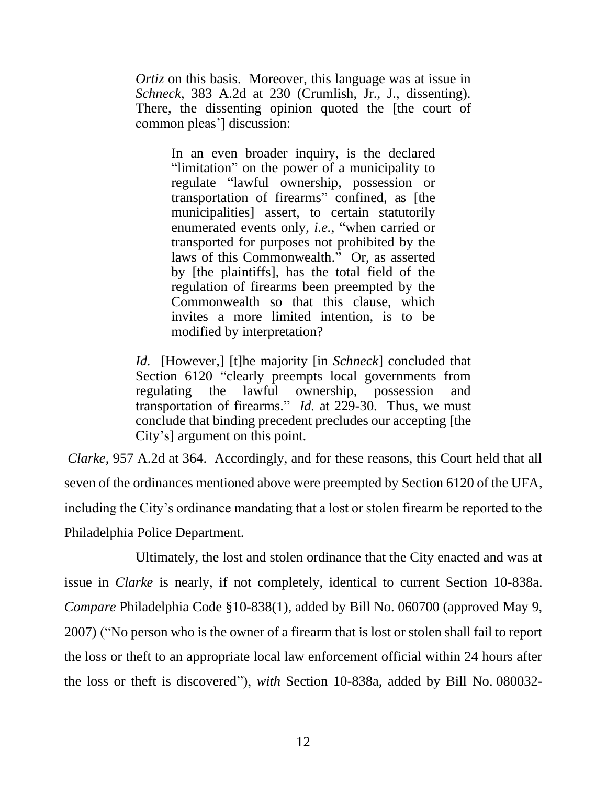*Ortiz* on this basis. Moreover, this language was at issue in *Schneck*, 383 A.2d at 230 (Crumlish, Jr., J., dissenting). There, the dissenting opinion quoted the [the court of common pleas'] discussion:

> In an even broader inquiry, is the declared "limitation" on the power of a municipality to regulate "lawful ownership, possession or transportation of firearms" confined, as [the municipalities] assert, to certain statutorily enumerated events only, *i.e.*, "when carried or transported for purposes not prohibited by the laws of this Commonwealth." Or, as asserted by [the plaintiffs], has the total field of the regulation of firearms been preempted by the Commonwealth so that this clause, which invites a more limited intention, is to be modified by interpretation?

*Id.* [However,] [t]he majority [in *Schneck*] concluded that Section 6120 "clearly preempts local governments from regulating the lawful ownership, possession and transportation of firearms." *Id.* at 229-30. Thus, we must conclude that binding precedent precludes our accepting [the City's] argument on this point.

*Clarke*, 957 A.2d at 364. Accordingly, and for these reasons, this Court held that all seven of the ordinances mentioned above were preempted by Section 6120 of the UFA, including the City's ordinance mandating that a lost or stolen firearm be reported to the Philadelphia Police Department.

Ultimately, the lost and stolen ordinance that the City enacted and was at issue in *Clarke* is nearly, if not completely, identical to current Section 10-838a. *Compare* Philadelphia Code §10-838(1), added by Bill No. [060700](http://www.amlegal.com/pdffiles/Philadelphia/060700.pdf) (approved May 9, 2007) ("No person who is the owner of a firearm that is lost or stolen shall fail to report the loss or theft to an appropriate local law enforcement official within 24 hours after the loss or theft is discovered"), *with* Section 10-838a, added by Bill No. [080032-](http://www.amlegal.com/pdffiles/Philadelphia/080032-A.pdf)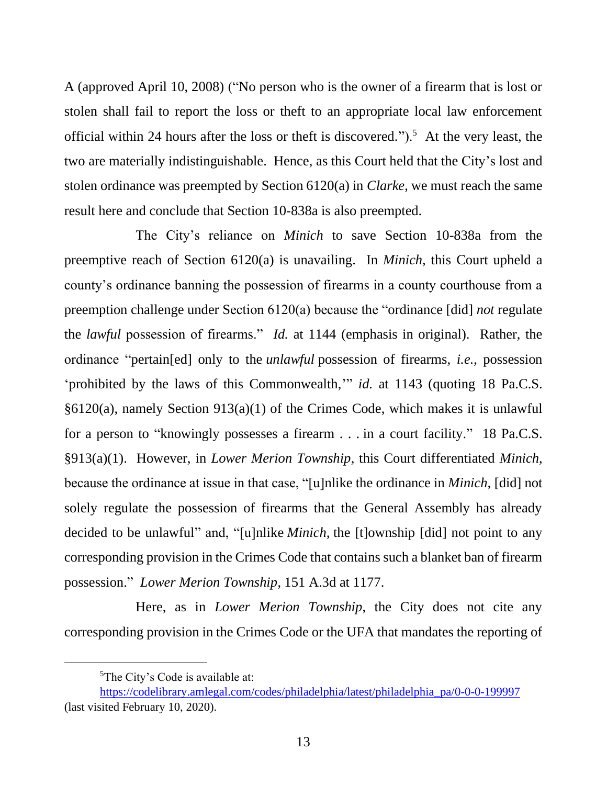[A](http://www.amlegal.com/pdffiles/Philadelphia/080032-A.pdf) (approved April 10, 2008) ("No person who is the owner of a firearm that is lost or stolen shall fail to report the loss or theft to an appropriate local law enforcement official within 24 hours after the loss or theft is discovered.").<sup>5</sup> At the very least, the two are materially indistinguishable. Hence, as this Court held that the City's lost and stolen ordinance was preempted by Section 6120(a) in *Clarke*, we must reach the same result here and conclude that Section 10-838a is also preempted.

The City's reliance on *Minich* to save Section 10-838a from the preemptive reach of Section 6120(a) is unavailing. In *Minich*, this Court upheld a county's ordinance banning the possession of firearms in a county courthouse from a preemption challenge under Section 6120(a) because the "ordinance [did] *not* regulate the *lawful* possession of firearms." *Id.* at 1144 (emphasis in original). Rather, the ordinance "pertain[ed] only to the *unlawful* possession of firearms, *i.e.*, possession 'prohibited by the laws of this Commonwealth,'" *id.* at 1143 (quoting 18 Pa.C.S. §6120(a), namely Section 913(a)(1) of the Crimes Code, which makes it is unlawful for a person to "knowingly possesses a firearm . . . in a court facility." 18 Pa.C.S. §913(a)(1). However, in *Lower Merion Township*, this Court differentiated *Minich*, because the ordinance at issue in that case, "[u]nlike the ordinance in *Minich,* [did] not solely regulate the possession of firearms that the General Assembly has already decided to be unlawful" and, "[u]nlike *Minich,* the [t]ownship [did] not point to any corresponding provision in the Crimes Code that contains such a blanket ban of firearm possession." *Lower Merion Township*, 151 A.3d at 1177.

Here, as in *Lower Merion Township*, the City does not cite any corresponding provision in the Crimes Code or the UFA that mandates the reporting of

<sup>5</sup>The City's Code is available at:

[https://codelibrary.amlegal.com/codes/philadelphia/latest/philadelphia\\_pa/0-0-0-199997](https://codelibrary.amlegal.com/codes/philadelphia/latest/philadelphia_pa/0-0-0-199997) (last visited February 10, 2020).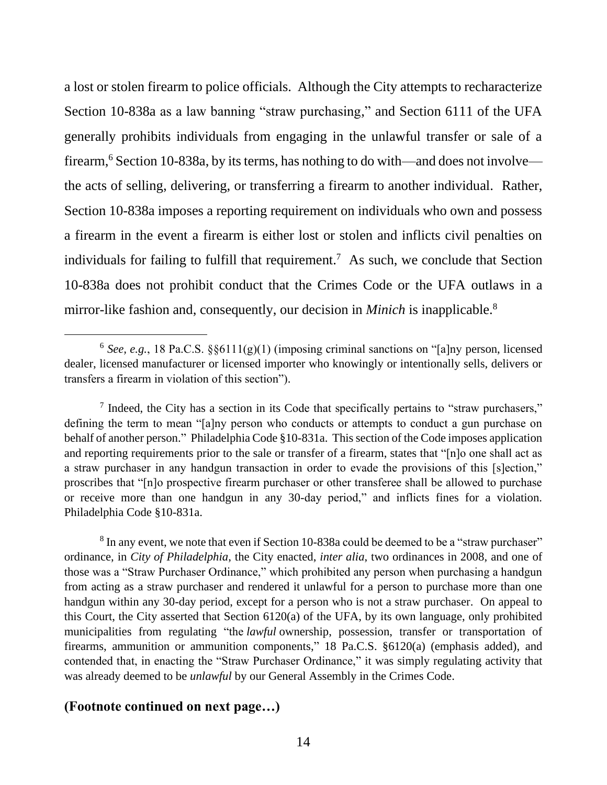a lost or stolen firearm to police officials. Although the City attempts to recharacterize Section 10-838a as a law banning "straw purchasing," and Section 6111 of the UFA generally prohibits individuals from engaging in the unlawful transfer or sale of a firearm,<sup>6</sup> Section 10-838a, by its terms, has nothing to do with—and does not involve the acts of selling, delivering, or transferring a firearm to another individual. Rather, Section 10-838a imposes a reporting requirement on individuals who own and possess a firearm in the event a firearm is either lost or stolen and inflicts civil penalties on individuals for failing to fulfill that requirement.<sup>7</sup> As such, we conclude that Section 10-838a does not prohibit conduct that the Crimes Code or the UFA outlaws in a mirror-like fashion and, consequently, our decision in *Minich* is inapplicable.<sup>8</sup>

### **(Footnote continued on next page…)**

 $6$  See, e.g., 18 Pa.C.S.  $\S 6111(g)(1)$  (imposing criminal sanctions on "[a]ny person, licensed dealer, licensed manufacturer or licensed importer who knowingly or intentionally sells, delivers or transfers a firearm in violation of this section").

 $<sup>7</sup>$  Indeed, the City has a section in its Code that specifically pertains to "straw purchasers,"</sup> defining the term to mean "[a]ny person who conducts or attempts to conduct a gun purchase on behalf of another person." Philadelphia Code §10-831a. This section of the Code imposes application and reporting requirements prior to the sale or transfer of a firearm, states that "[n]o one shall act as a straw purchaser in any handgun transaction in order to evade the provisions of this [s]ection," proscribes that "[n]o prospective firearm purchaser or other transferee shall be allowed to purchase or receive more than one handgun in any 30-day period," and inflicts fines for a violation. Philadelphia Code §10-831a.

 $8$  In any event, we note that even if Section 10-838a could be deemed to be a "straw purchaser" ordinance, in *City of Philadelphia*, the City enacted, *inter alia*, two ordinances in 2008, and one of those was a "Straw Purchaser Ordinance," which prohibited any person when purchasing a handgun from acting as a straw purchaser and rendered it unlawful for a person to purchase more than one handgun within any 30-day period, except for a person who is not a straw purchaser. On appeal to this Court, the City asserted that Section 6120(a) of the UFA, by its own language, only prohibited municipalities from regulating "the *lawful* ownership, possession, transfer or transportation of firearms, ammunition or ammunition components," 18 Pa.C.S. §6120(a) (emphasis added), and contended that, in enacting the "Straw Purchaser Ordinance," it was simply regulating activity that was already deemed to be *unlawful* by our General Assembly in the Crimes Code.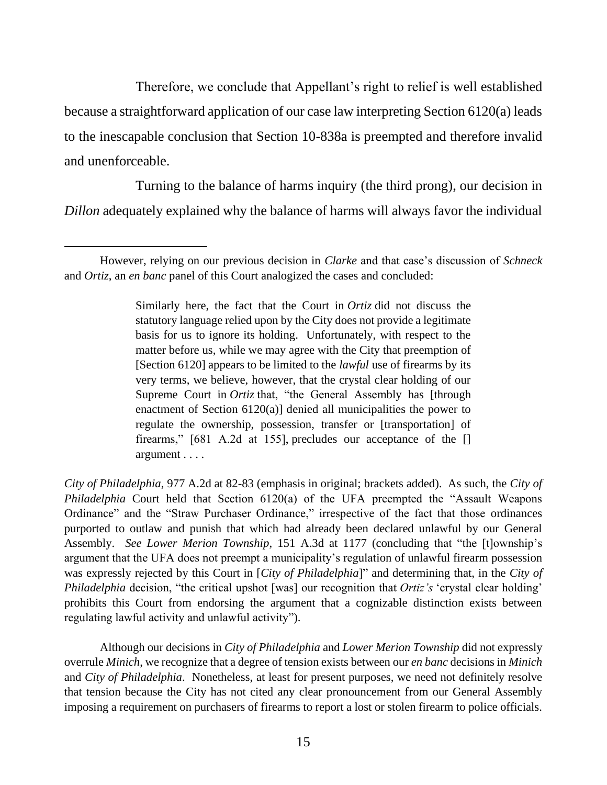Therefore, we conclude that Appellant's right to relief is well established because a straightforward application of our case law interpreting Section 6120(a) leads to the inescapable conclusion that Section 10-838a is preempted and therefore invalid and unenforceable.

Turning to the balance of harms inquiry (the third prong), our decision in *Dillon* adequately explained why the balance of harms will always favor the individual

Similarly here, the fact that the Court in *Ortiz* did not discuss the statutory language relied upon by the City does not provide a legitimate basis for us to ignore its holding. Unfortunately, with respect to the matter before us, while we may agree with the City that preemption of [Section 6120] appears to be limited to the *lawful* use of firearms by its very terms, we believe, however, that the crystal clear holding of our Supreme Court in *Ortiz* that, "the General Assembly has [through enactment of Section 6120(a)] denied all municipalities the power to regulate the ownership, possession, transfer or [transportation] of firearms," [681 A.2d at 155], precludes our acceptance of the [] argument . . . .

*City of Philadelphia*, 977 A.2d at 82-83 (emphasis in original; brackets added). As such, the *City of Philadelphia* Court held that Section 6120(a) of the UFA preempted the "Assault Weapons Ordinance" and the "Straw Purchaser Ordinance," irrespective of the fact that those ordinances purported to outlaw and punish that which had already been declared unlawful by our General Assembly. *See Lower Merion Township*, 151 A.3d at 1177 (concluding that "the [t]ownship's argument that the UFA does not preempt a municipality's regulation of unlawful firearm possession was expressly rejected by this Court in [*City of Philadelphia*]" and determining that, in the *City of Philadelphia* decision, "the critical upshot [was] our recognition that *Ortiz's* 'crystal clear holding' prohibits this Court from endorsing the argument that a cognizable distinction exists between regulating lawful activity and unlawful activity").

Although our decisions in *City of Philadelphia* and *Lower Merion Township* did not expressly overrule *Minich*, we recognize that a degree of tension exists between our *en banc* decisions in *Minich*  and *City of Philadelphia*. Nonetheless, at least for present purposes, we need not definitely resolve that tension because the City has not cited any clear pronouncement from our General Assembly imposing a requirement on purchasers of firearms to report a lost or stolen firearm to police officials.

However, relying on our previous decision in *Clarke* and that case's discussion of *Schneck* and *Ortiz*, an *en banc* panel of this Court analogized the cases and concluded: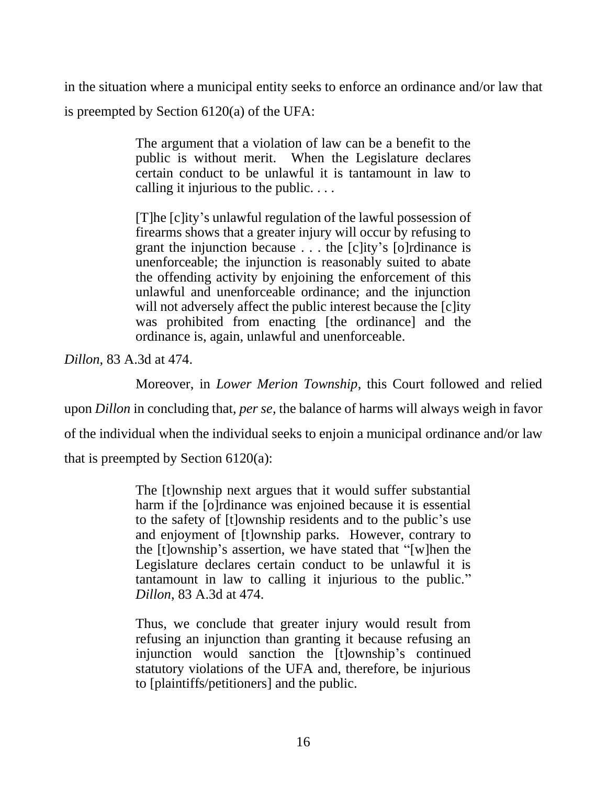in the situation where a municipal entity seeks to enforce an ordinance and/or law that is preempted by Section 6120(a) of the UFA:

> The argument that a violation of law can be a benefit to the public is without merit. When the Legislature declares certain conduct to be unlawful it is tantamount in law to calling it injurious to the public. . . .

> [T]he [c]ity's unlawful regulation of the lawful possession of firearms shows that a greater injury will occur by refusing to grant the injunction because . . . the [c]ity's [o]rdinance is unenforceable; the injunction is reasonably suited to abate the offending activity by enjoining the enforcement of this unlawful and unenforceable ordinance; and the injunction will not adversely affect the public interest because the [c]ity was prohibited from enacting [the ordinance] and the ordinance is, again, unlawful and unenforceable.

*Dillon*, 83 A.3d at 474.

Moreover, in *Lower Merion Township*, this Court followed and relied

upon *Dillon* in concluding that, *per se*, the balance of harms will always weigh in favor

of the individual when the individual seeks to enjoin a municipal ordinance and/or law

that is preempted by Section 6120(a):

The [t]ownship next argues that it would suffer substantial harm if the [o]rdinance was enjoined because it is essential to the safety of [t]ownship residents and to the public's use and enjoyment of [t]ownship parks. However, contrary to the [t]ownship's assertion, we have stated that "[w]hen the Legislature declares certain conduct to be unlawful it is tantamount in law to calling it injurious to the public." *Dillon*, 83 A.3d at 474.

Thus, we conclude that greater injury would result from refusing an injunction than granting it because refusing an injunction would sanction the [t]ownship's continued statutory violations of the UFA and, therefore, be injurious to [plaintiffs/petitioners] and the public.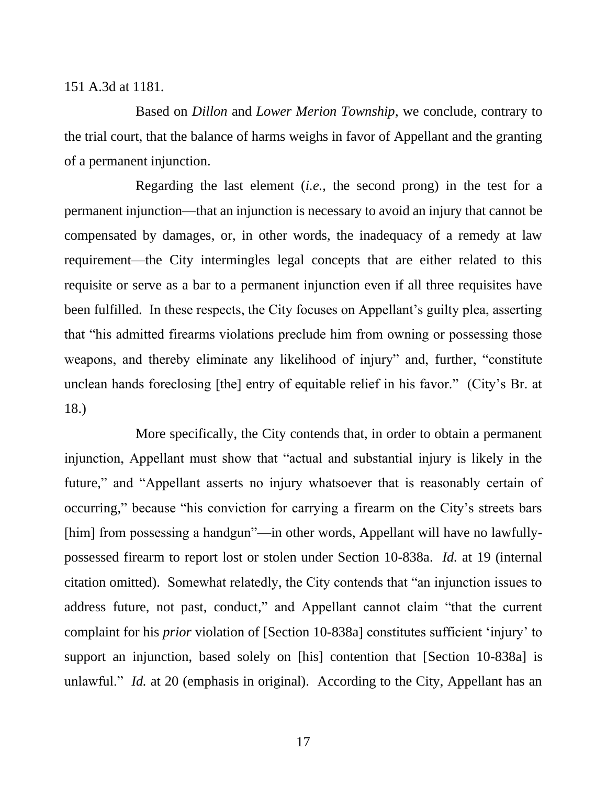#### 151 A.3d at 1181.

Based on *Dillon* and *Lower Merion Township*, we conclude, contrary to the trial court, that the balance of harms weighs in favor of Appellant and the granting of a permanent injunction.

Regarding the last element (*i.e.,* the second prong) in the test for a permanent injunction—that an injunction is necessary to avoid an injury that cannot be compensated by damages, or, in other words, the inadequacy of a remedy at law requirement—the City intermingles legal concepts that are either related to this requisite or serve as a bar to a permanent injunction even if all three requisites have been fulfilled. In these respects, the City focuses on Appellant's guilty plea, asserting that "his admitted firearms violations preclude him from owning or possessing those weapons, and thereby eliminate any likelihood of injury" and, further, "constitute unclean hands foreclosing [the] entry of equitable relief in his favor." (City's Br. at 18.)

More specifically, the City contends that, in order to obtain a permanent injunction, Appellant must show that "actual and substantial injury is likely in the future," and "Appellant asserts no injury whatsoever that is reasonably certain of occurring," because "his conviction for carrying a firearm on the City's streets bars [him] from possessing a handgun"—in other words, Appellant will have no lawfullypossessed firearm to report lost or stolen under Section 10-838a. *Id.* at 19 (internal citation omitted). Somewhat relatedly, the City contends that "an injunction issues to address future, not past, conduct," and Appellant cannot claim "that the current complaint for his *prior* violation of [Section 10-838a] constitutes sufficient 'injury' to support an injunction, based solely on [his] contention that [Section 10-838a] is unlawful." *Id.* at 20 (emphasis in original). According to the City, Appellant has an

17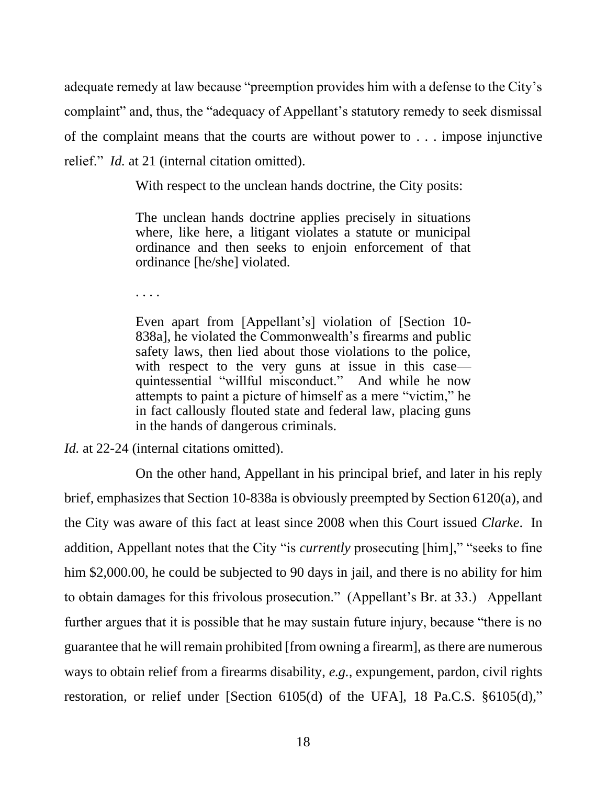adequate remedy at law because "preemption provides him with a defense to the City's complaint" and, thus, the "adequacy of Appellant's statutory remedy to seek dismissal of the complaint means that the courts are without power to . . . impose injunctive relief." *Id.* at 21 (internal citation omitted).

With respect to the unclean hands doctrine, the City posits:

The unclean hands doctrine applies precisely in situations where, like here, a litigant violates a statute or municipal ordinance and then seeks to enjoin enforcement of that ordinance [he/she] violated.

. . . .

Even apart from [Appellant's] violation of [Section 10- 838a], he violated the Commonwealth's firearms and public safety laws, then lied about those violations to the police, with respect to the very guns at issue in this case quintessential "willful misconduct." And while he now attempts to paint a picture of himself as a mere "victim," he in fact callously flouted state and federal law, placing guns in the hands of dangerous criminals.

*Id.* at 22-24 (internal citations omitted).

On the other hand, Appellant in his principal brief, and later in his reply brief, emphasizes that Section 10-838a is obviously preempted by Section 6120(a), and the City was aware of this fact at least since 2008 when this Court issued *Clarke*. In addition, Appellant notes that the City "is *currently* prosecuting [him]," "seeks to fine him \$2,000.00, he could be subjected to 90 days in jail, and there is no ability for him to obtain damages for this frivolous prosecution." (Appellant's Br. at 33.) Appellant further argues that it is possible that he may sustain future injury, because "there is no guarantee that he will remain prohibited [from owning a firearm], as there are numerous ways to obtain relief from a firearms disability, *e.g.,* expungement, pardon, civil rights restoration, or relief under [Section 6105(d) of the UFA], 18 Pa.C.S. §6105(d),"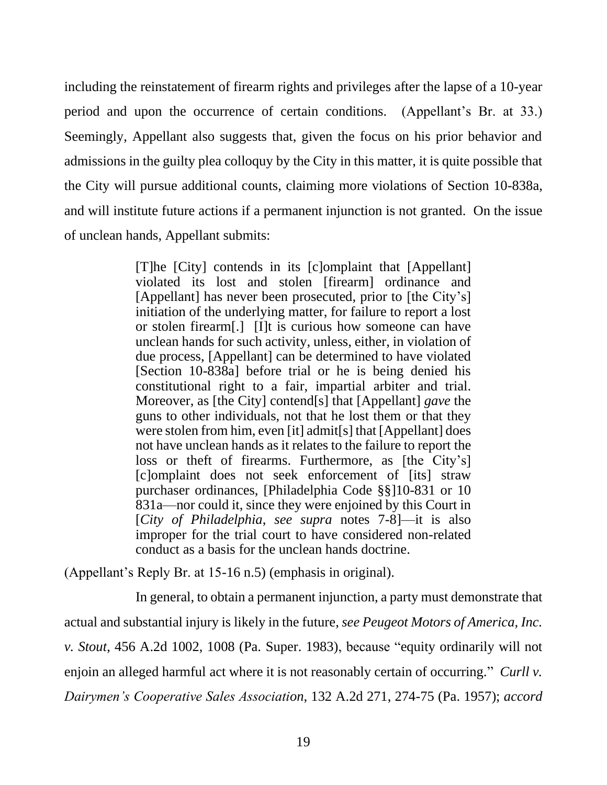including the reinstatement of firearm rights and privileges after the lapse of a 10-year period and upon the occurrence of certain conditions. (Appellant's Br. at 33.) Seemingly, Appellant also suggests that, given the focus on his prior behavior and admissions in the guilty plea colloquy by the City in this matter, it is quite possible that the City will pursue additional counts, claiming more violations of Section 10-838a, and will institute future actions if a permanent injunction is not granted. On the issue of unclean hands, Appellant submits:

> [T]he [City] contends in its [c]omplaint that [Appellant] violated its lost and stolen [firearm] ordinance and [Appellant] has never been prosecuted, prior to [the City's] initiation of the underlying matter, for failure to report a lost or stolen firearm[.] [I]t is curious how someone can have unclean hands for such activity, unless, either, in violation of due process, [Appellant] can be determined to have violated [Section 10-838a] before trial or he is being denied his constitutional right to a fair, impartial arbiter and trial. Moreover, as [the City] contend[s] that [Appellant] *gave* the guns to other individuals, not that he lost them or that they were stolen from him, even [it] admit[s] that [Appellant] does not have unclean hands as it relates to the failure to report the loss or theft of firearms. Furthermore, as [the City's] [c]omplaint does not seek enforcement of [its] straw purchaser ordinances, [Philadelphia Code §§]10-831 or 10 831a—nor could it, since they were enjoined by this Court in [*City of Philadelphia*, *see supra* notes 7-8]—it is also improper for the trial court to have considered non-related conduct as a basis for the unclean hands doctrine.

(Appellant's Reply Br. at 15-16 n.5) (emphasis in original).

In general, to obtain a permanent injunction, a party must demonstrate that actual and substantial injury is likely in the future, *see Peugeot Motors of America, Inc. v. Stout*, 456 A.2d 1002, 1008 (Pa. Super. 1983), because "equity ordinarily will not enjoin an alleged harmful act where it is not reasonably certain of occurring." *Curll v. Dairymen's Cooperative Sales Association*, 132 A.2d 271, 274-75 (Pa. 1957); *accord*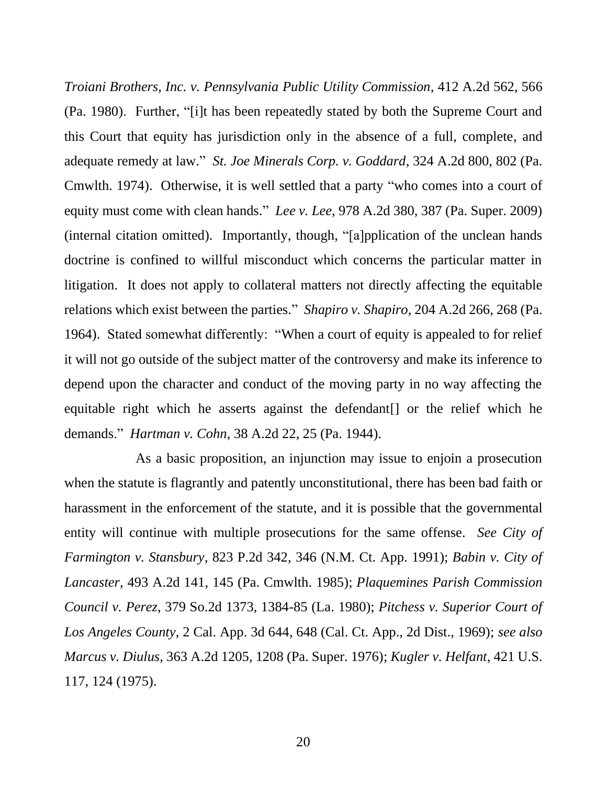*Troiani Brothers, Inc. v. Pennsylvania Public Utility Commission*, 412 A.2d 562, 566 (Pa. 1980). Further, "[i]t has been repeatedly stated by both the Supreme Court and this Court that equity has jurisdiction only in the absence of a full, complete, and adequate remedy at law." *St. Joe Minerals Corp. v. Goddard*, 324 A.2d 800, 802 (Pa. Cmwlth. 1974). Otherwise, it is well settled that a party "who comes into a court of equity must come with clean hands." *Lee v. Lee*, 978 A.2d 380, 387 (Pa. Super. 2009) (internal citation omitted). Importantly, though, "[a]pplication of the unclean hands doctrine is confined to willful misconduct which concerns the particular matter in litigation. It does not apply to collateral matters not directly affecting the equitable relations which exist between the parties." *Shapiro v. Shapiro*, 204 A.2d 266, 268 (Pa. 1964). Stated somewhat differently: "When a court of equity is appealed to for relief it will not go outside of the subject matter of the controversy and make its inference to depend upon the character and conduct of the moving party in no way affecting the equitable right which he asserts against the defendant[] or the relief which he demands." *Hartman v. Cohn*, 38 A.2d 22, 25 (Pa. 1944).

As a basic proposition, an injunction may issue to enjoin a prosecution when the statute is flagrantly and patently unconstitutional, there has been bad faith or harassment in the enforcement of the statute, and it is possible that the governmental entity will continue with multiple prosecutions for the same offense. *See City of Farmington v. Stansbury*, 823 P.2d 342, 346 (N.M. Ct. App. 1991); *Babin v. City of Lancaster*, 493 A.2d 141, 145 (Pa. Cmwlth. 1985); *Plaquemines Parish Commission Council v. Perez*, 379 So.2d 1373, 1384-85 (La. 1980); *Pitchess v. Superior Court of Los Angeles County*, 2 Cal. App. 3d 644, 648 (Cal. Ct. App., 2d Dist., 1969); *see also Marcus v. Diulus*, 363 A.2d 1205, 1208 (Pa. Super. 1976); *Kugler v. Helfant*, 421 U.S. 117, 124 (1975).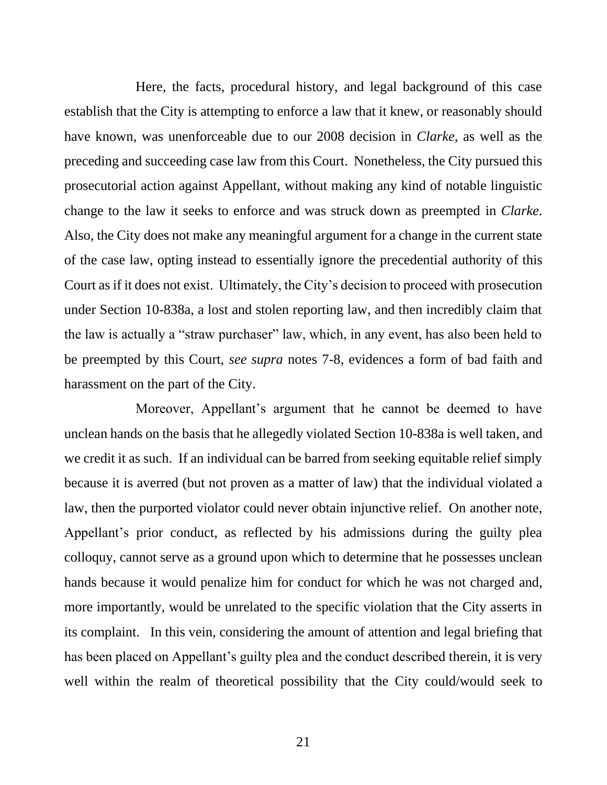Here, the facts, procedural history, and legal background of this case establish that the City is attempting to enforce a law that it knew, or reasonably should have known, was unenforceable due to our 2008 decision in *Clarke*, as well as the preceding and succeeding case law from this Court. Nonetheless, the City pursued this prosecutorial action against Appellant, without making any kind of notable linguistic change to the law it seeks to enforce and was struck down as preempted in *Clarke*. Also, the City does not make any meaningful argument for a change in the current state of the case law, opting instead to essentially ignore the precedential authority of this Court as if it does not exist. Ultimately, the City's decision to proceed with prosecution under Section 10-838a, a lost and stolen reporting law, and then incredibly claim that the law is actually a "straw purchaser" law, which, in any event, has also been held to be preempted by this Court, *see supra* notes 7-8, evidences a form of bad faith and harassment on the part of the City.

Moreover, Appellant's argument that he cannot be deemed to have unclean hands on the basis that he allegedly violated Section 10-838a is well taken, and we credit it as such. If an individual can be barred from seeking equitable relief simply because it is averred (but not proven as a matter of law) that the individual violated a law, then the purported violator could never obtain injunctive relief. On another note, Appellant's prior conduct, as reflected by his admissions during the guilty plea colloquy, cannot serve as a ground upon which to determine that he possesses unclean hands because it would penalize him for conduct for which he was not charged and, more importantly, would be unrelated to the specific violation that the City asserts in its complaint. In this vein, considering the amount of attention and legal briefing that has been placed on Appellant's guilty plea and the conduct described therein, it is very well within the realm of theoretical possibility that the City could/would seek to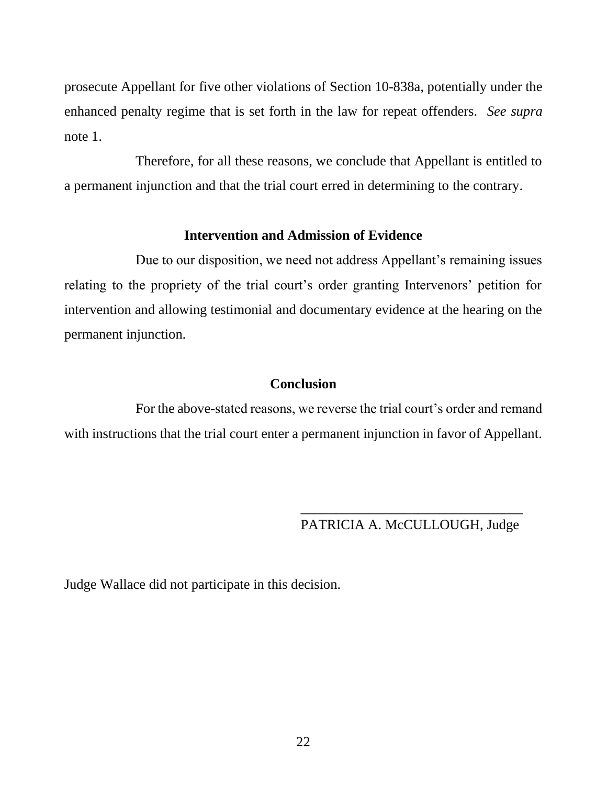prosecute Appellant for five other violations of Section 10-838a, potentially under the enhanced penalty regime that is set forth in the law for repeat offenders. *See supra*  note 1.

Therefore, for all these reasons, we conclude that Appellant is entitled to a permanent injunction and that the trial court erred in determining to the contrary.

#### **Intervention and Admission of Evidence**

Due to our disposition, we need not address Appellant's remaining issues relating to the propriety of the trial court's order granting Intervenors' petition for intervention and allowing testimonial and documentary evidence at the hearing on the permanent injunction.

#### **Conclusion**

For the above-stated reasons, we reverse the trial court's order and remand with instructions that the trial court enter a permanent injunction in favor of Appellant.

> \_\_\_\_\_\_\_\_\_\_\_\_\_\_\_\_\_\_\_\_\_\_\_\_\_\_\_\_\_\_\_\_ PATRICIA A. McCULLOUGH, Judge

Judge Wallace did not participate in this decision.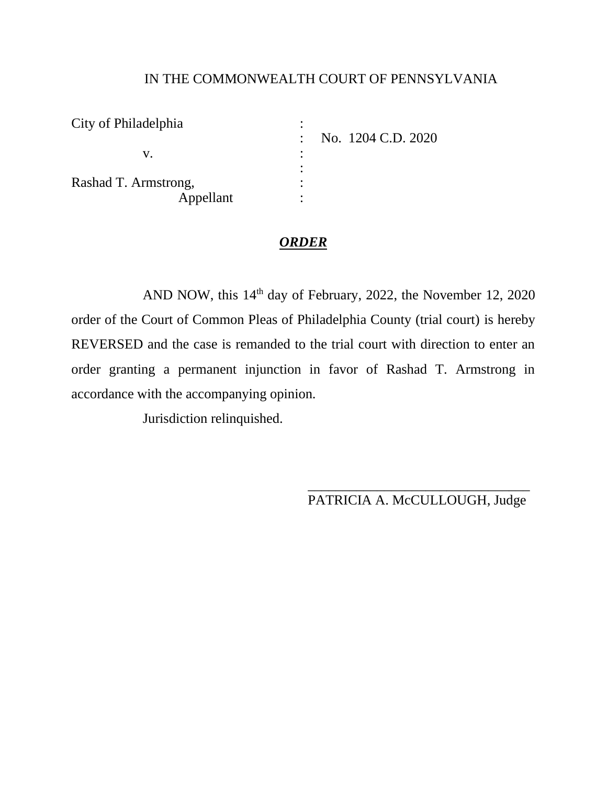### IN THE COMMONWEALTH COURT OF PENNSYLVANIA

| City of Philadelphia | No. 1204 C.D. 2020 |
|----------------------|--------------------|
|                      |                    |
| Rashad T. Armstrong, |                    |
| Appellant            |                    |

### *ORDER*

AND NOW, this  $14<sup>th</sup>$  day of February, 2022, the November 12, 2020 order of the Court of Common Pleas of Philadelphia County (trial court) is hereby REVERSED and the case is remanded to the trial court with direction to enter an order granting a permanent injunction in favor of Rashad T. Armstrong in accordance with the accompanying opinion.

Jurisdiction relinquished.

\_\_\_\_\_\_\_\_\_\_\_\_\_\_\_\_\_\_\_\_\_\_\_\_\_\_\_\_\_\_\_\_ PATRICIA A. McCULLOUGH, Judge